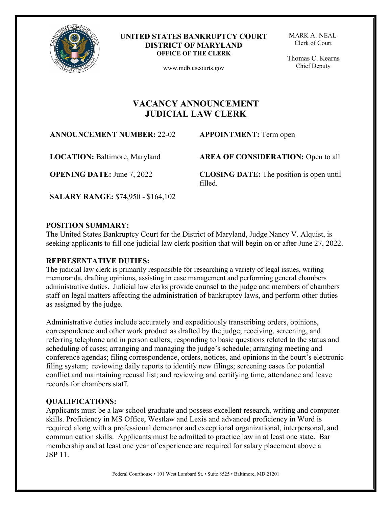

#### **UNITED STATES BANKRUPTCY COURT DISTRICT OF MARYLAND OFFICE OF THE CLERK**

www.mdb.uscourts.gov

MARK A. NEAL Clerk of Court

 Thomas C. Kearns Chief Deputy

# **VACANCY ANNOUNCEMENT JUDICIAL LAW CLERK**

**ANNOUNCEMENT NUMBER:** 22-02 **APPOINTMENT:** Term open

**LOCATION:** Baltimore, Maryland

**OPENING DATE:** June 7, 2022

**AREA OF CONSIDERATION:** Open to all

**CLOSING DATE:** The position is open until filled.

**SALARY RANGE:** \$74,950 - \$164,102

## **POSITION SUMMARY:**

The United States Bankruptcy Court for the District of Maryland, Judge Nancy V. Alquist, is seeking applicants to fill one judicial law clerk position that will begin on or after June 27, 2022.

# **REPRESENTATIVE DUTIES:**

The judicial law clerk is primarily responsible for researching a variety of legal issues, writing memoranda, drafting opinions, assisting in case management and performing general chambers administrative duties. Judicial law clerks provide counsel to the judge and members of chambers staff on legal matters affecting the administration of bankruptcy laws, and perform other duties as assigned by the judge.

Administrative duties include accurately and expeditiously transcribing orders, opinions, correspondence and other work product as drafted by the judge; receiving, screening, and referring telephone and in person callers; responding to basic questions related to the status and scheduling of cases; arranging and managing the judge's schedule; arranging meeting and conference agendas; filing correspondence, orders, notices, and opinions in the court's electronic filing system; reviewing daily reports to identify new filings; screening cases for potential conflict and maintaining recusal list; and reviewing and certifying time, attendance and leave records for chambers staff.

# **QUALIFICATIONS:**

Applicants must be a law school graduate and possess excellent research, writing and computer skills. Proficiency in MS Office, Westlaw and Lexis and advanced proficiency in Word is required along with a professional demeanor and exceptional organizational, interpersonal, and communication skills. Applicants must be admitted to practice law in at least one state. Bar membership and at least one year of experience are required for salary placement above a JSP 11.

Federal Courthouse • 101 West Lombard St. • Suite 8525 • Baltimore, MD 21201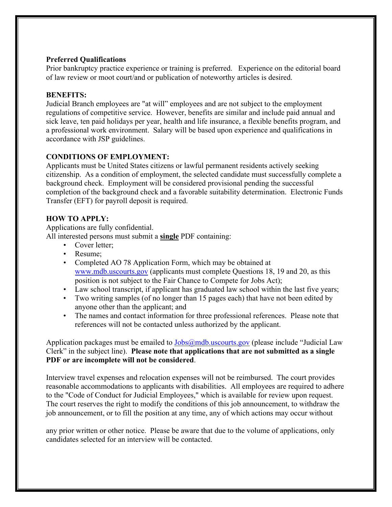#### **Preferred Qualifications**

Prior bankruptcy practice experience or training is preferred. Experience on the editorial board of law review or moot court/and or publication of noteworthy articles is desired.

#### **BENEFITS:**

Judicial Branch employees are "at will" employees and are not subject to the employment regulations of competitive service. However, benefits are similar and include paid annual and sick leave, ten paid holidays per year, health and life insurance, a flexible benefits program, and a professional work environment. Salary will be based upon experience and qualifications in accordance with JSP guidelines.

## **CONDITIONS OF EMPLOYMENT:**

Applicants must be United States citizens or lawful permanent residents actively seeking citizenship. As a condition of employment, the selected candidate must successfully complete a background check. Employment will be considered provisional pending the successful completion of the background check and a favorable suitability determination. Electronic Funds Transfer (EFT) for payroll deposit is required.

#### **HOW TO APPLY:**

Applications are fully confidential.

All interested persons must submit a **single** PDF containing:

- Cover letter;
- Resume;
- Completed AO 78 Application Form, which may be obtained at [www.mdb.uscourts.gov](http://www.mdb.uscourts.gov/) (applicants must complete Questions 18, 19 and 20, as this position is not subject to the Fair Chance to Compete for Jobs Act);
- Law school transcript, if applicant has graduated law school within the last five years;
- Two writing samples (of no longer than 15 pages each) that have not been edited by anyone other than the applicant; and
- The names and contact information for three professional references. Please note that references will not be contacted unless authorized by the applicant.

Application packages must be emailed to  $\v{Jobs@mdb}$ .uscourts.gov (please include "Judicial Law Clerk" in the subject line). **Please note that applications that are not submitted as a single PDF or are incomplete will not be considered**.

Interview travel expenses and relocation expenses will not be reimbursed. The court provides reasonable accommodations to applicants with disabilities. All employees are required to adhere to the "Code of Conduct for Judicial Employees," which is available for review upon request. The court reserves the right to modify the conditions of this job announcement, to withdraw the job announcement, or to fill the position at any time, any of which actions may occur without

any prior written or other notice. Please be aware that due to the volume of applications, only candidates selected for an interview will be contacted.